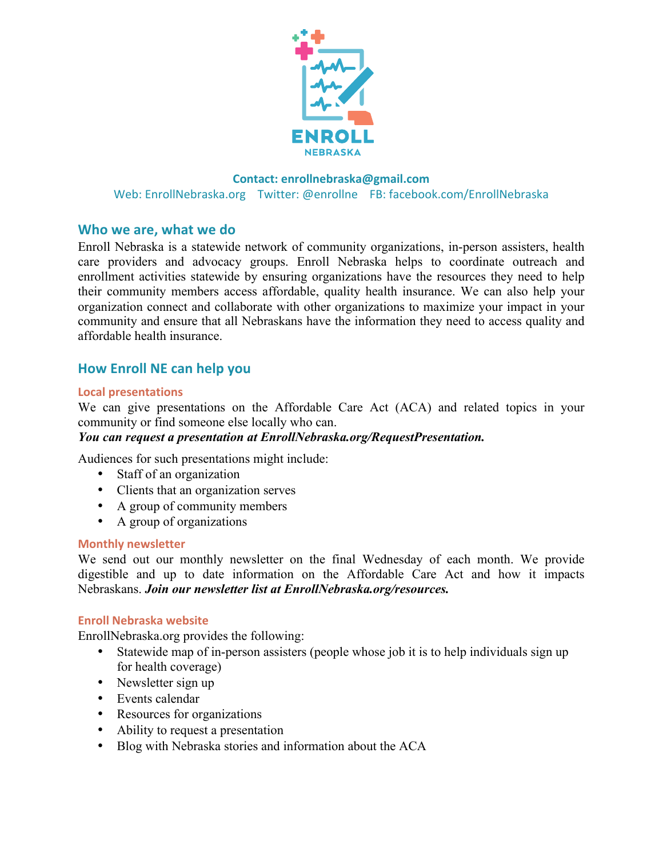

## **Contact: enrollnebraska@gmail.com**  Web: EnrollNebraska.org Twitter: @enrollne FB: facebook.com/EnrollNebraska

# **Who we are, what we do**

Enroll Nebraska is a statewide network of community organizations, in-person assisters, health care providers and advocacy groups. Enroll Nebraska helps to coordinate outreach and enrollment activities statewide by ensuring organizations have the resources they need to help their community members access affordable, quality health insurance. We can also help your organization connect and collaborate with other organizations to maximize your impact in your community and ensure that all Nebraskans have the information they need to access quality and affordable health insurance.

# **How Enroll NE can help you**

## **Local presentations**

We can give presentations on the Affordable Care Act (ACA) and related topics in your community or find someone else locally who can.

## *You can request a presentation at EnrollNebraska.org/RequestPresentation.*

Audiences for such presentations might include:

- Staff of an organization
- Clients that an organization serves
- A group of community members
- A group of organizations

## **Monthly newsletter**

We send out our monthly newsletter on the final Wednesday of each month. We provide digestible and up to date information on the Affordable Care Act and how it impacts Nebraskans. *Join our newsletter list at EnrollNebraska.org/resources.*

## **Enroll Nebraska website**

EnrollNebraska.org provides the following:

- Statewide map of in-person assisters (people whose job it is to help individuals sign up for health coverage)
- Newsletter sign up
- Events calendar
- Resources for organizations
- Ability to request a presentation
- Blog with Nebraska stories and information about the ACA